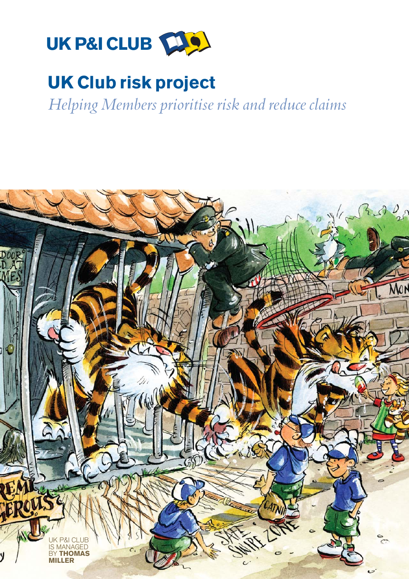

# UK Club risk project

Helping Members prioritise risk and reduce claims

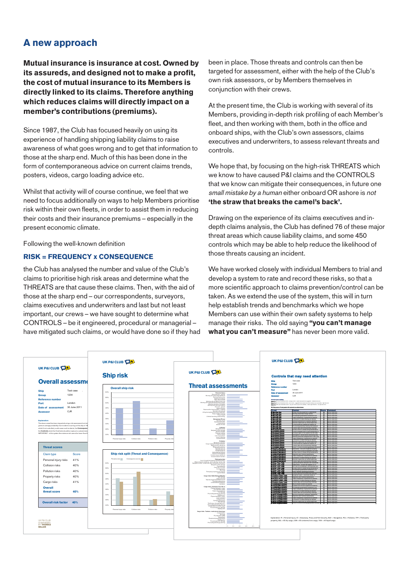## A new approach

Mutual insurance is insurance at cost. Owned by its assureds, and designed not to make a profit, the cost of mutual insurance to its Members is directly linked to its claims. Therefore anything which reduces claims will directly impact on a member's contributions (premiums).

Since 1987, the Club has focused heavily on using its experience of handling shipping liability claims to raise awareness of what goes wrong and to get that information to those at the sharp end. Much of this has been done in the form of contemporaneous advice on current claims trends, posters, videos, cargo loading advice etc.

Whilst that activity will of course continue, we feel that we need to focus additionally on ways to help Members prioritise risk within their own fleets, in order to assist them in reducing their costs and their insurance premiums – especially in the present economic climate.

Following the well-known definition

#### RISK = FREQUENCY x CONSEQUENCE

the Club has analysed the number and value of the Club's claims to prioritise high risk areas and determine what the THREATS are that cause these claims. Then, with the aid of those at the sharp end – our correspondents, surveyors, claims executives and underwriters and last but not least important, our crews – we have sought to determine what CONTROLS – be it engineered, procedural or managerial – have mitigated such claims, or would have done so if they had been in place. Those threats and controls can then be targeted for assessment, either with the help of the Club's own risk assessors, or by Members themselves in conjunction with their crews.

At the present time, the Club is working with several of its Members, providing in-depth risk profiling of each Member's fleet, and then working with them, both in the office and onboard ships, with the Club's own assessors, claims executives and underwriters, to assess relevant threats and controls.

We hope that, by focusing on the high-risk THREATS which we know to have caused P&I claims and the CONTROLS that we know can mitigate their consequences, in future one small mistake by a human either onboard OR ashore is not 'the straw that breaks the camel's back'.

Drawing on the experience of its claims executives and indepth claims analysis, the Club has defined 76 of these major threat areas which cause liability claims, and some 450 controls which may be able to help reduce the likelihood of those threats causing an incident.

We have worked closely with individual Members to trial and develop a system to rate and record these risks, so that a more scientific approach to claims prevention/control can be taken. As we extend the use of the system, this will in turn help establish trends and benchmarks which we hope Members can use within their own safety systems to help manage their risks. The old saying "you can't manage what you can't measure" has never been more valid.

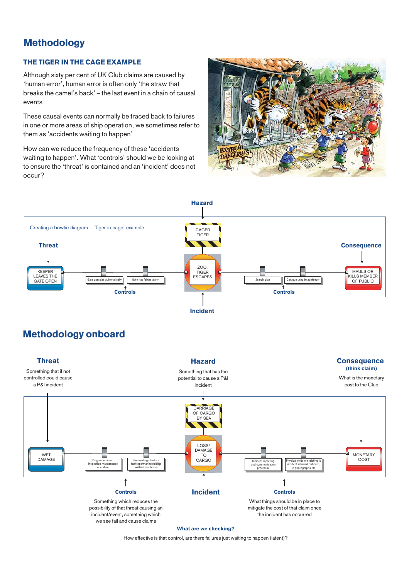## **Methodology**

#### THE TIGER IN THE CAGE EXAMPLE

Although sixty per cent of UK Club claims are caused by 'human error', human error is often only 'the straw that breaks the camel's back' – the last event in a chain of causal events

These causal events can normally be traced back to failures in one or more areas of ship operation, we sometimes refer to them as 'accidents waiting to happen'

How can we reduce the frequency of these 'accidents waiting to happen'. What 'controls' should we be looking at to ensure the 'threat' is contained and an 'incident' does not occur?





## Methodology onboard



How effective is that control, are there failures just waiting to happen (latent)?